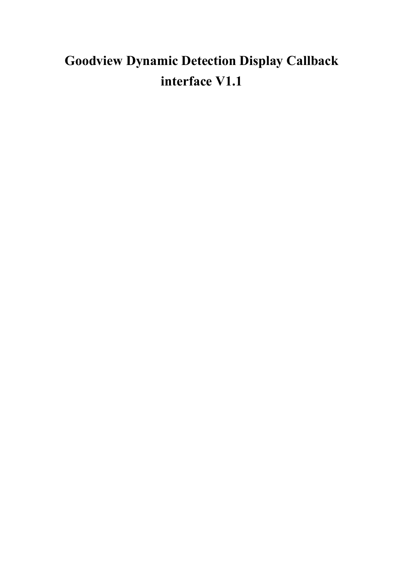## **Goodview Dynamic Detection Display Callback interface V1.1**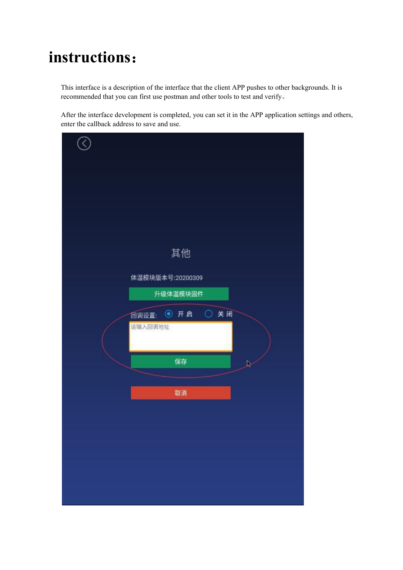## **instructions**:

This interface is a description of the interface that the client APP pushes to other backgrounds. It is recommended that you can first use postman and other tools to test and verify。

After the interface development is completed, you can set it in the APP application settings and others, enter the callback address to save and use.

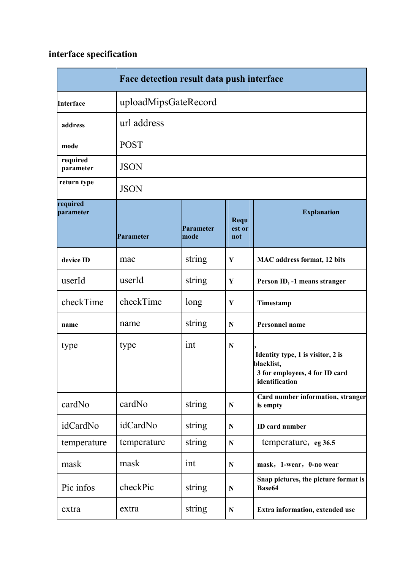## **interface specification**

| Face detection result data push interface |                      |                   |                       |                                                                                                     |  |  |
|-------------------------------------------|----------------------|-------------------|-----------------------|-----------------------------------------------------------------------------------------------------|--|--|
| Interface                                 | uploadMipsGateRecord |                   |                       |                                                                                                     |  |  |
| address                                   | url address          |                   |                       |                                                                                                     |  |  |
| mode                                      | <b>POST</b>          |                   |                       |                                                                                                     |  |  |
| required<br>parameter                     | <b>JSON</b>          |                   |                       |                                                                                                     |  |  |
| return type                               | <b>JSON</b>          |                   |                       |                                                                                                     |  |  |
| required<br>parameter                     | Parameter            | Parameter<br>mode | Requ<br>est or<br>not | <b>Explanation</b>                                                                                  |  |  |
| device ID                                 | mac                  | string            | Y                     | <b>MAC</b> address format, 12 bits                                                                  |  |  |
| userId                                    | userId               | string            | Y                     | Person ID, -1 means stranger                                                                        |  |  |
| checkTime                                 | checkTime            | long              | Y                     | Timestamp                                                                                           |  |  |
| name                                      | name                 | string            | N                     | Personnel name                                                                                      |  |  |
| type                                      | type                 | int               | $\mathbf N$           | Identity type, 1 is visitor, 2 is<br>blacklist,<br>3 for employees, 4 for ID card<br>identification |  |  |
| cardNo                                    | cardNo               | string            | $\mathbf N$           | Card number information, stranger<br>is empty                                                       |  |  |
| idCardNo                                  | idCardNo             | string            | ${\bf N}$             | <b>ID</b> card number                                                                               |  |  |
| temperature                               | temperature          | string            | ${\bf N}$             | temperature, eg 36.5                                                                                |  |  |
| mask                                      | mask                 | int               | ${\bf N}$             | mask, 1-wear, 0-no wear                                                                             |  |  |
| Pic infos                                 | checkPic             | string            | ${\bf N}$             | Snap pictures, the picture format is<br>Base64                                                      |  |  |
| extra                                     | extra                | string            | ${\bf N}$             | Extra information, extended use                                                                     |  |  |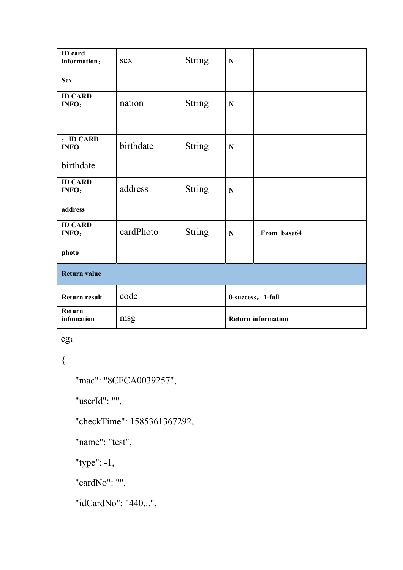| <b>ID</b> card<br>information:               | sex       | <b>String</b> | $\mathbf N$               |             |  |  |  |
|----------------------------------------------|-----------|---------------|---------------------------|-------------|--|--|--|
| <b>Sex</b>                                   |           |               |                           |             |  |  |  |
| <b>ID CARD</b><br>INFO:                      | nation    | <b>String</b> | ${\bf N}$                 |             |  |  |  |
| : <b>ID CARD</b><br><b>INFO</b><br>birthdate | birthdate | <b>String</b> | $\mathbf N$               |             |  |  |  |
| <b>ID CARD</b><br>INFO:<br>address           | address   | <b>String</b> | ${\bf N}$                 |             |  |  |  |
| <b>ID CARD</b><br>INFO:<br>photo             | cardPhoto | <b>String</b> | $\mathbf N$               | From base64 |  |  |  |
| <b>Return value</b>                          |           |               |                           |             |  |  |  |
| <b>Return result</b>                         | code      |               | 0-success, 1-fail         |             |  |  |  |
| Return<br>infomation                         | msg       |               | <b>Return information</b> |             |  |  |  |

eg:

 $\{$ 

"mac": "8CFCA0039257",

"userId": "",

"checkTime": 1585361367292,

"name": "test",

"type": -1,

"cardNo": "",

"idCardNo": "440...",